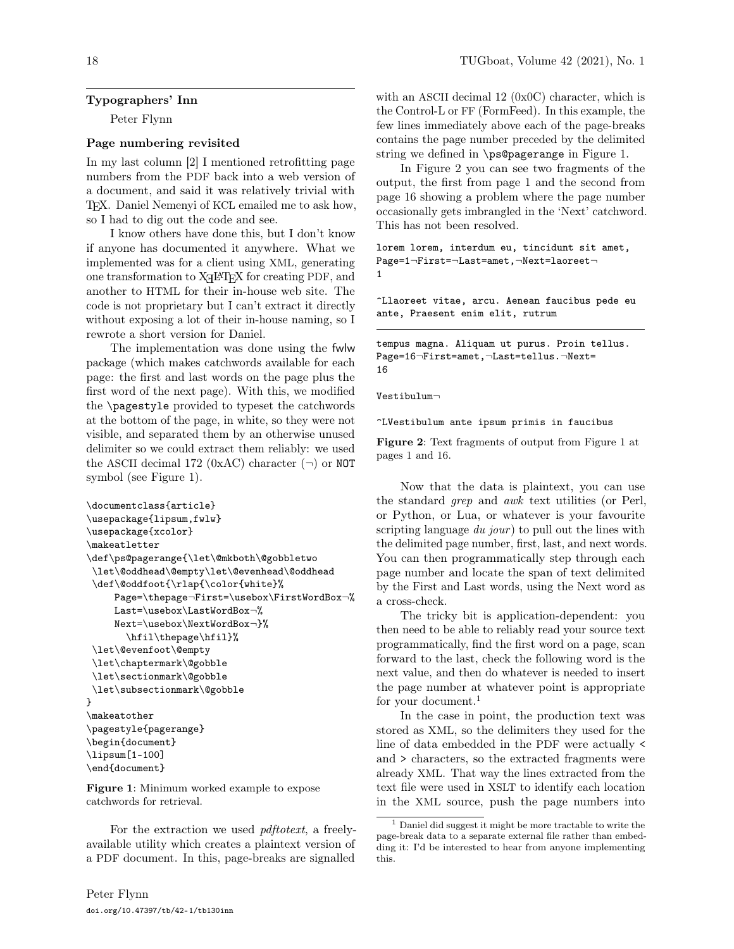# Typographers' Inn

Peter Flynn

#### Page numbering revisited

In my last column [2] I mentioned retrofitting page numbers from the PDF back into a web version of a document, and said it was relatively trivial with TEX. Daniel Nemenyi of KCL emailed me to ask how, so I had to dig out the code and see.

I know others have done this, but I don't know if anyone has documented it anywhere. What we implemented was for a client using XML, generating one transformation to X<sub>H</sub>PT<sub>E</sub>X for creating PDF, and another to HTML for their in-house web site. The code is not proprietary but I can't extract it directly without exposing a lot of their in-house naming, so I rewrote a short version for Daniel.

The implementation was done using the fwlw package (which makes catchwords available for each page: the first and last words on the page plus the first word of the next page). With this, we modified the \pagestyle provided to typeset the catchwords at the bottom of the page, in white, so they were not visible, and separated them by an otherwise unused delimiter so we could extract them reliably: we used the ASCII decimal 172 (0xAC) character  $(\neg)$  or NOT symbol (see Figure 1).

```
\documentclass{article}
\usepackage{lipsum,fwlw}
\usepackage{xcolor}
\makeatletter
\def\ps@pagerange{\let\@mkboth\@gobbletwo
\let\@oddhead\@empty\let\@evenhead\@oddhead
\def\@oddfoot{\rlap{\color{white}%
     Page=\thepage¬First=\usebox\FirstWordBox¬%
     Last=\usebox\LastWordBox¬%
     Next=\usebox\NextWordBox¬}%
       \hfil\thepage\hfil}%
\let\@evenfoot\@empty
\let\chaptermark\@gobble
\let\sectionmark\@gobble
\let\subsectionmark\@gobble
}
\makeatother
\pagestyle{pagerange}
\begin{document}
\lipsum[1-100]
\end{document}
```
Figure 1: Minimum worked example to expose catchwords for retrieval.

For the extraction we used pdftotext, a freelyavailable utility which creates a plaintext version of a PDF document. In this, page-breaks are signalled

with an ASCII decimal 12 (0x0C) character, which is the Control-L or FF (FormFeed). In this example, the few lines immediately above each of the page-breaks contains the page number preceded by the delimited string we defined in \ps@pagerange in Figure 1.

In Figure 2 you can see two fragments of the output, the first from page 1 and the second from page 16 showing a problem where the page number occasionally gets imbrangled in the 'Next' catchword. This has not been resolved.

lorem lorem, interdum eu, tincidunt sit amet, Page=1¬First=¬Last=amet,¬Next=laoreet¬ 1

^Llaoreet vitae, arcu. Aenean faucibus pede eu ante, Praesent enim elit, rutrum

tempus magna. Aliquam ut purus. Proin tellus. Page=16¬First=amet,¬Last=tellus.¬Next= 16

Vestibulum¬

^LVestibulum ante ipsum primis in faucibus

Figure 2: Text fragments of output from Figure 1 at pages 1 and 16.

Now that the data is plaintext, you can use the standard grep and awk text utilities (or Perl, or Python, or Lua, or whatever is your favourite scripting language  $du$  jour) to pull out the lines with the delimited page number, first, last, and next words. You can then programmatically step through each page number and locate the span of text delimited by the First and Last words, using the Next word as a cross-check.

The tricky bit is application-dependent: you then need to be able to reliably read your source text programmatically, find the first word on a page, scan forward to the last, check the following word is the next value, and then do whatever is needed to insert the page number at whatever point is appropriate for your document. $1$ 

In the case in point, the production text was stored as XML, so the delimiters they used for the line of data embedded in the PDF were actually < and > characters, so the extracted fragments were already XML. That way the lines extracted from the text file were used in XSLT to identify each location in the XML source, push the page numbers into

<sup>1</sup> Daniel did suggest it might be more tractable to write the page-break data to a separate external file rather than embedding it: I'd be interested to hear from anyone implementing this.